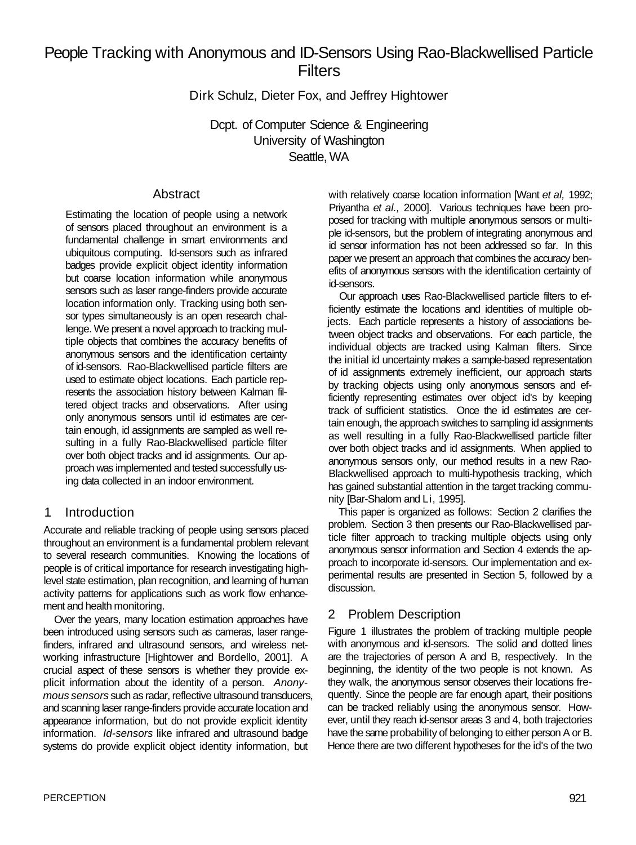# People Tracking with Anonymous and ID-Sensors Using Rao-Blackwellised Particle **Filters**

Dirk Schulz, Dieter Fox, and Jeffrey Hightower

Dcpt. of Computer Science & Engineering University of Washington Seattle, WA

# Abstract

Estimating the location of people using a network of sensors placed throughout an environment is a fundamental challenge in smart environments and ubiquitous computing. Id-sensors such as infrared badges provide explicit object identity information but coarse location information while anonymous sensors such as laser range-finders provide accurate location information only. Tracking using both sensor types simultaneously is an open research challenge. We present a novel approach to tracking multiple objects that combines the accuracy benefits of anonymous sensors and the identification certainty of id-sensors. Rao-Blackwellised particle filters are used to estimate object locations. Each particle represents the association history between Kalman filtered object tracks and observations. After using only anonymous sensors until id estimates are certain enough, id assignments are sampled as well resulting in a fully Rao-Blackwellised particle filter over both object tracks and id assignments. Our approach was implemented and tested successfully using data collected in an indoor environment.

# 1 Introduction

Accurate and reliable tracking of people using sensors placed throughout an environment is a fundamental problem relevant to several research communities. Knowing the locations of people is of critical importance for research investigating highlevel state estimation, plan recognition, and learning of human activity patterns for applications such as work flow enhancement and health monitoring.

Over the years, many location estimation approaches have been introduced using sensors such as cameras, laser rangefinders, infrared and ultrasound sensors, and wireless networking infrastructure [Hightower and Bordello, 2001]. A crucial aspect of these sensors is whether they provide explicit information about the identity of a person. *Anonymous sensors* such as radar, reflective ultrasound transducers, and scanning laser range-finders provide accurate location and appearance information, but do not provide explicit identity information. *Id-sensors* like infrared and ultrasound badge systems do provide explicit object identity information, but

with relatively coarse location information [Want *et al,* 1992; Priyantha *et al.,* 2000]. Various techniques have been proposed for tracking with multiple anonymous sensors or multiple id-sensors, but the problem of integrating anonymous and id sensor information has not been addressed so far. In this paper we present an approach that combines the accuracy benefits of anonymous sensors with the identification certainty of id-sensors.

Our approach uses Rao-Blackwellised particle filters to efficiently estimate the locations and identities of multiple objects. Each particle represents a history of associations between object tracks and observations. For each particle, the individual objects are tracked using Kalman filters. Since the initial id uncertainty makes a sample-based representation of id assignments extremely inefficient, our approach starts by tracking objects using only anonymous sensors and efficiently representing estimates over object id's by keeping track of sufficient statistics. Once the id estimates are certain enough, the approach switches to sampling id assignments as well resulting in a fully Rao-Blackwellised particle filter over both object tracks and id assignments. When applied to anonymous sensors only, our method results in a new Rao-Blackwellised approach to multi-hypothesis tracking, which has gained substantial attention in the target tracking community [Bar-Shalom and Li, 1995].

This paper is organized as follows: Section 2 clarifies the problem. Section 3 then presents our Rao-Blackwellised particle filter approach to tracking multiple objects using only anonymous sensor information and Section 4 extends the approach to incorporate id-sensors. Our implementation and experimental results are presented in Section 5, followed by a discussion.

# 2 Problem Description

Figure 1 illustrates the problem of tracking multiple people with anonymous and id-sensors. The solid and dotted lines are the trajectories of person A and B, respectively. In the beginning, the identity of the two people is not known. As they walk, the anonymous sensor observes their locations frequently. Since the people are far enough apart, their positions can be tracked reliably using the anonymous sensor. However, until they reach id-sensor areas 3 and 4, both trajectories have the same probability of belonging to either person A or B. Hence there are two different hypotheses for the id's of the two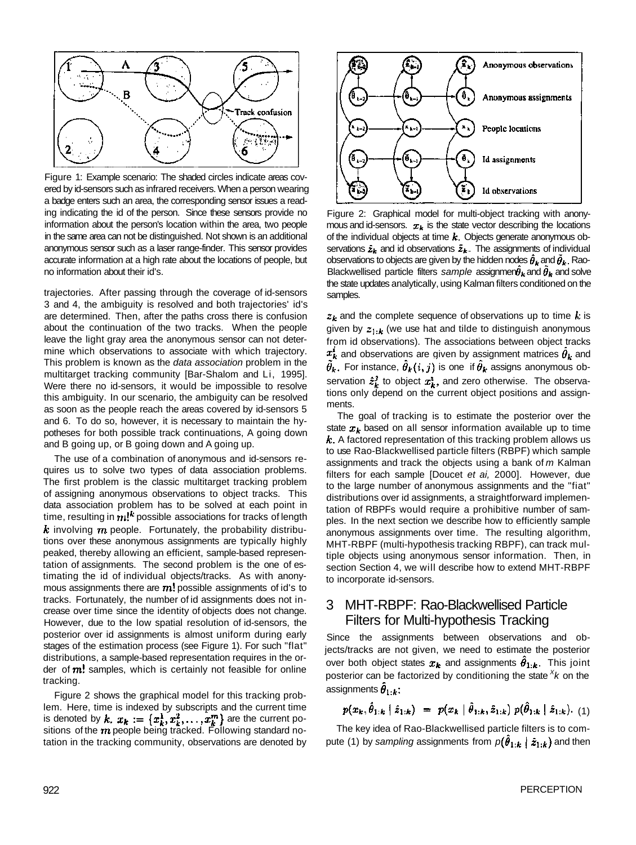

Figure 1: Example scenario: The shaded circles indicate areas covered by id-sensors such as infrared receivers. When a person wearing a badge enters such an area, the corresponding sensor issues a reading indicating the id of the person. Since these sensors provide no information about the person's location within the area, two people in the same area can not be distinguished. Not shown is an additional anonymous sensor such as a laser range-finder. This sensor provides accurate information at a high rate about the locations of people, but no information about their id's.

trajectories. After passing through the coverage of id-sensors 3 and 4, the ambiguity is resolved and both trajectories' id's are determined. Then, after the paths cross there is confusion about the continuation of the two tracks. When the people leave the light gray area the anonymous sensor can not determine which observations to associate with which trajectory. This problem is known as the *data association* problem in the multitarget tracking community [Bar-Shalom and Li, 1995]. Were there no id-sensors, it would be impossible to resolve this ambiguity. In our scenario, the ambiguity can be resolved as soon as the people reach the areas covered by id-sensors 5 and 6. To do so, however, it is necessary to maintain the hypotheses for both possible track continuations, A going down and B going up, or B going down and A going up.

The use of a combination of anonymous and id-sensors requires us to solve two types of data association problems. The first problem is the classic multitarget tracking problem of assigning anonymous observations to object tracks. This data association problem has to be solved at each point in time, resulting in  $m!^k$  possible associations for tracks of length  $k$  involving  $m$  people. Fortunately, the probability distributions over these anonymous assignments are typically highly peaked, thereby allowing an efficient, sample-based representation of assignments. The second problem is the one of estimating the id of individual objects/tracks. As with anonymous assignments there are  $m!$  possible assignments of id's to tracks. Fortunately, the number of id assignments does not increase over time since the identity of objects does not change. However, due to the low spatial resolution of id-sensors, the posterior over id assignments is almost uniform during early stages of the estimation process (see Figure 1). For such "flat" distributions, a sample-based representation requires in the order of  $m!$  samples, which is certainly not feasible for online tracking.

Figure 2 shows the graphical model for this tracking problem. Here, time is indexed by subscripts and the current time is denoted by  $k. x_k := \{x_k^1, x_k^2, \ldots, x_k^m\}$  are the current positions of the  $m$  people being tracked. Following standard notation in the tracking community, observations are denoted by



Figure 2: Graphical model for multi-object tracking with anonymous and id-sensors.  $x_k$  is the state vector describing the locations of the individual objects at time  $k$ . Objects generate anonymous observations  $\hat{z}_k$  and id observations  $\hat{z}_k$ . The assignments of individual observations to objects are given by the hidden nodes  $\hat{\theta}_k$  and  $\hat{\theta}_k$ . Rao-Blackwellised particle filters sample assignmen $\hat{\theta}_k$  and  $\bar{\theta}_k$  and solve the state updates analytically, using Kalman filters conditioned on the samples.

 $z_k$  and the complete sequence of observations up to time k is given by  $z_{1:k}$  (we use hat and tilde to distinguish anonymous from id observations). The associations between object tracks  $x_k^i$  and observations are given by assignment matrices  $\theta_k$  and  $\tilde{\theta}_k$ . For instance,  $\hat{\theta}_k(i,j)$  is one if  $\hat{\theta}_k$  assigns anonymous observation  $\hat{z}_k^j$  to object  $x_k^i$ , and zero otherwise. The observations only depend on the current object positions and assignments.

The goal of tracking is to estimate the posterior over the state  $x_k$  based on all sensor information available up to time  $k$ . A factored representation of this tracking problem allows us to use Rao-Blackwellised particle filters (RBPF) which sample assignments and track the objects using a bank of *m* Kalman filters for each sample [Doucet *et ai,* 2000]. However, due to the large number of anonymous assignments and the "fiat" distributions over id assignments, a straightforward implementation of RBPFs would require a prohibitive number of samples. In the next section we describe how to efficiently sample anonymous assignments over time. The resulting algorithm, MHT-RBPF (multi-hypothesis tracking RBPF), can track multiple objects using anonymous sensor information. Then, in section Section 4, we will describe how to extend MHT-RBPF to incorporate id-sensors.

# 3 MHT-RBPF: Rao-Blackwellised Particle Filters for Multi-hypothesis Tracking

Since the assignments between observations and objects/tracks are not given, we need to estimate the posterior over both object states  $x_k$  and assignments  $\ddot{\theta}_{1:k}$ . This joint posterior can be factorized by conditioning the state <sup>X</sup>*k* on the assignments  $\hat{\theta}_{1:k}$ :

$$
p(x_k, \hat{\theta}_{1:k} | \hat{z}_{1:k}) = p(x_k | \hat{\theta}_{1:k}, \hat{z}_{1:k}) p(\hat{\theta}_{1:k} | \hat{z}_{1:k}). \tag{1}
$$

The key idea of Rao-Blackwellised particle filters is to compute (1) by sampling assignments from  $p(\hat{\theta}_{1:k} | \hat{z}_{1:k})$  and then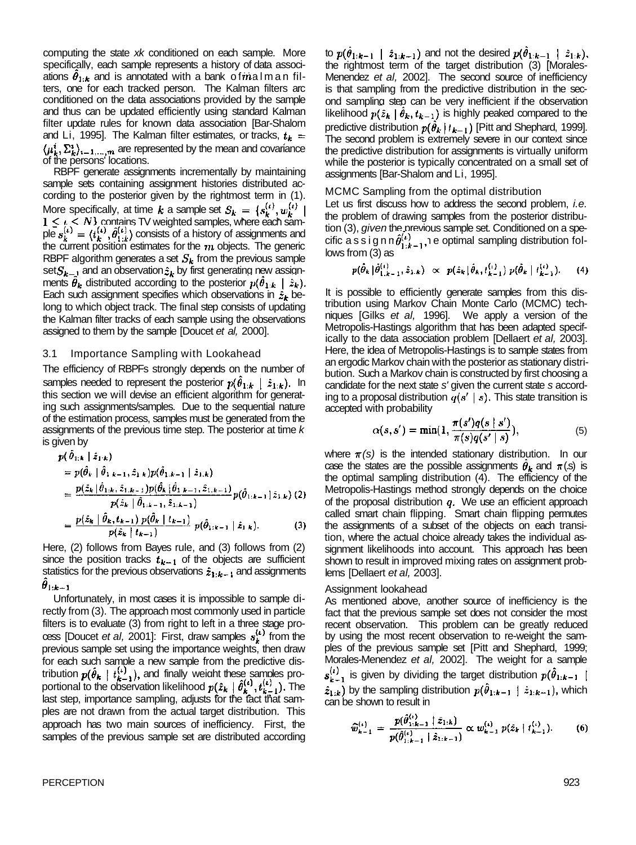computing the state *xk* conditioned on each sample. More specifically, each sample represents a history of data associations  $\theta_{1:k}$  and is annotated with a bank of the alm an filters, one for each tracked person. The Kalman filters arc conditioned on the data associations provided by the sample and thus can be updated efficiently using standard Kalman filter update rules for known data association [Bar-Shalom and Li, 1995]. The Kalman filter estimates, or tracks,  $t_k =$  $\langle \mu_k^i, \Sigma_k^i \rangle_{i=1,\dots,m}$  are represented by the mean and covariance of the persons' locations.

RBPF generate assignments incrementally by maintaining sample sets containing assignment histories distributed according to the posterior given by the rightmost term in (1). More specifically, at time  $k$  a sample set contains TV weighted samples, where each sample  $s_k^{(t)} = (t_k^{(t)}, \theta_{1:k}^{(t)})$  consists of a history of assignments and the current position estimates for the  $m$  objects. The generic RBPF algorithm generates a set  $S_k$  from the previous sample set $S_{k-1}$  and an observation  $\hat{z}_k$  by first generating new assignments  $\hat{\theta}_k$  distributed according to the posterior  $p(\hat{\theta}_{1:k} | \hat{z}_k)$ . Each such assignment specifies which observations in  $\hat{x}_k$  belong to which object track. The final step consists of updating the Kalman filter tracks of each sample using the observations assigned to them by the sample [Doucet *et al,* 2000].

#### 3.1 Importance Sampling with Lookahead

The efficiency of RBPFs strongly depends on the number of samples needed to represent the posterior  $p(\theta_{1:k} | \hat{z}_{1:k})$ . In this section we will devise an efficient algorithm for generating such assignments/samples. Due to the sequential nature of the estimation process, samples must be generated from the assignments of the previous time step. The posterior at time *k*  is given by  $\sim 10^4$ 

$$
p(\theta_{1:k} | \hat{z}_{1:k})
$$
  
=  $p(\hat{\theta}_k | \hat{\theta}_{1:k-1}, \hat{z}_{1:k}) p(\hat{\theta}_{1:k-1} | \hat{z}_{1:k})$   
=  $\frac{p(\hat{z}_k | \hat{\theta}_{1:k}, \hat{z}_{1:k-1}) p(\hat{\theta}_k | \hat{\theta}_{1:k-1}, \hat{z}_{1:k-1})}{p(\hat{z}_k | \hat{\theta}_{1:k-1}, \hat{z}_{1:k-1})} p(\hat{\theta}_{1:k-1} | \hat{z}_{1:k})$  (2)  
=  $\frac{p(\hat{z}_k | \hat{\theta}_k, t_{k-1}) p(\hat{\theta}_k | t_{k-1})}{p(\hat{z}_k | t_{k-1})} p(\hat{\theta}_{1:k-1} | \hat{z}_{1:k})$ . (3)

Here, (2) follows from Bayes rule, and (3) follows from (2) since the position tracks  $t_{k-1}$  of the objects are sufficient statistics for the previous observations  $\hat{z}_{1:k-1}$  and assignments  $\theta_{1:k-1}$ 

Unfortunately, in most cases it is impossible to sample directly from (3). The approach most commonly used in particle filters is to evaluate (3) from right to left in a three stage process [Doucet *et al,* 2001]: First, draw samples  $s_k^{(t)}$  from the previous sample set using the importance weights, then draw for each such sample a new sample from the predictive distribution  $p(\theta_k | t_{k-1}^{(i)})$ , and finally weight these samples proportional to the observation likelihood  $p(\hat{z}_k | \theta_k^{(i)}, t_{k-1}^{(i)})$ . The last step, importance sampling, adjusts for the fact that samples are not drawn from the actual target distribution. This approach has two main sources of inefficiency. First, the samples of the previous sample set are distributed according

to  $p(\theta_{1:k-1} \mid \hat{z}_{1:k-1})$  and not the desired  $p(\theta_{1:k-1} \mid \hat{z}_{1:k}),$ the rightmost term of the target distribution (3) [Morales-Menendez *et al,* 2002]. The second source of inefficiency is that sampling from the predictive distribution in the second sampling step can be very inefficient if the observation likelihood  $p(\hat{z}_k | \hat{\theta}_k, t_{k-1})$  is highly peaked compared to the predictive distribution  $p(\hat{\theta}_k | t_{k-1})$  [Pitt and Shephard, 1999]. The second problem is extremely severe in our context since the predictive distribution for assignments is virtually uniform while the posterior is typically concentrated on a small set of assignments [Bar-Shalom and Li, 1995].

MCMC Sampling from the optimal distribution

Let us first discuss how to address the second problem, *i.e.*  the problem of drawing samples from the posterior distribution (3), *given* the previous sample set. Conditioned on a specific as sign  $n \hat{\theta}_{1:k-1}^{(\iota)}$ , e optimal sampling distribution follows from (3) as

$$
p(\hat{\theta}_k | \hat{\theta}_{1,k-1}^{(i)}, \hat{z}_{1,k}) \propto p(\hat{z}_k | \hat{\theta}_k, t_{k-1}^{(i)}) p(\hat{\theta}_k | t_{k-1}^{(i)}).
$$
 (4)

It is possible to efficiently generate samples from this distribution using Markov Chain Monte Carlo (MCMC) techniques [Gilks *et al,* 1996]. We apply a version of the Metropolis-Hastings algorithm that has been adapted specifically to the data association problem [Dellaert *et al,* 2003]. Here, the idea of Metropolis-Hastings is to sample states from an ergodic Markov chain with the posterior as stationary distribution. Such a Markov chain is constructed by first choosing a candidate for the next state *s'* given the current state *s* according to a proposal distribution  $q(s' | s)$ . This state transition is accepted with probability

$$
\alpha(s,s') = \min(1, \frac{\pi(s')q(s \mid s')}{\pi(s)q(s' \mid s)}),\tag{5}
$$

where  $\pi(s)$  is the intended stationary distribution. In our case the states are the possible assignments  $\theta_k$  and  $\pi(s)$  is the optimal sampling distribution (4). The efficiency of the Metropolis-Hastings method strongly depends on the choice of the proposal distribution  $q$ . We use an efficient approach called smart chain flipping. Smart chain flipping permutes the assignments of a subset of the objects on each transition, where the actual choice already takes the individual assignment likelihoods into account. This approach has been shown to result in improved mixing rates on assignment problems [Dellaert *et al,* 2003].

#### Assignment lookahead

As mentioned above, another source of inefficiency is the fact that the previous sample set does not consider the most recent observation. This problem can be greatly reduced by using the most recent observation to re-weight the samples of the previous sample set [Pitt and Shephard, 1999; Morales-Menendez *et al,* 2002]. The weight for a sample  $s_{k-1}^{(i)}$  is given by dividing the target distribution  $p(\hat{\theta}_{1:k-1})$  $\hat{z}_{1:k}$ ) by the sampling distribution  $p(\hat{\theta}_{1:k-1} | \hat{z}_{1:k-1})$ , which can be shown to result in

$$
\widehat{w}_{k-1}^{(i)} = \frac{p(\widehat{\theta}_{1:k-1}^{(i)} \mid \widehat{z}_{1:k})}{p(\widehat{\theta}_{1:k-1}^{(i)} \mid \widehat{z}_{1:k-1})} \propto w_{k-1}^{(i)} p(\widehat{z}_k \mid t_{k-1}^{(i)}).
$$
 (6)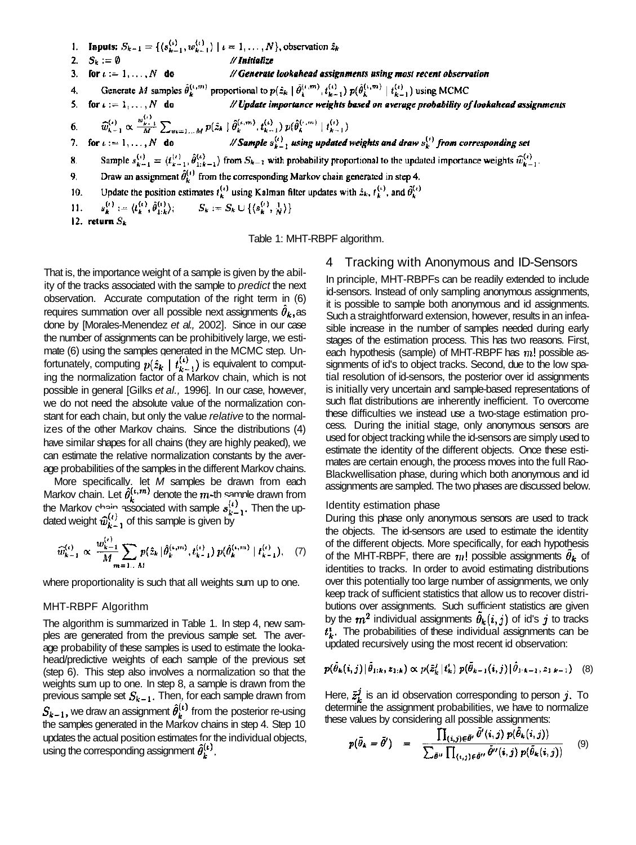1. **Inputs:**  $S_{k-1} = \{(s_{k-1}^{(i)}, w_{k-1}^{(i)}) \mid i = 1, ..., N\}$ , observation  $\hat{z}_k$ 2.  $S_k := \emptyset$ // Initialize 3. for  $i := 1, ..., N$  do // Generate lookahead assignments using most recent observation 4. Generate M samples  $\hat{\theta}_k^{(i,m)}$  proportional to  $p(\hat{z}_k | \hat{\theta}_k^{(i,m)}, t_{k-1}^{(i)}) p(\hat{\theta}_k^{(i,m)} | t_{k-1}^{(i)})$  using MCMC<br>5. for  $i = 1, ..., N$  do // Update importance weights based on average probability of lookahead assignments  $\widehat{w}_{k-1}^{(\iota)} \propto \frac{w_{k-1}^{(\iota)}}{M} \sum_{m=1...M} p(\hat{z}_k \mid \widehat{\theta}_k^{(\iota,m)}, t_{k-1}^{(\iota)}) p(\widehat{\theta}_k^{(\iota,m)} \mid t_{k-1}^{(\iota)})$  $6.$  $\mathbb{Z}$  // Sample  $s_{k-1}^{(1)}$  using updated weights and draw  $s_k^{(1)}$  from corresponding set 7. for  $i := 1, ..., N$  do Sample  $s_{k-1}^{(i)} = \langle t_{k-1}^{(i)}, \hat{\theta}_{1:k-1}^{(i)} \rangle$  from  $S_{k-1}$  with probability proportional to the updated importance weights  $\widehat{w}_{k-1}^{(i)}$ . 8. Draw an assignment  $\hat{\theta}_k^{(i)}$  from the corresponding Markov chain generated in step 4. 9. Update the position estimates  $t_k^{(i)}$  using Kalman filter updates with  $\hat{z}_k$ ,  $t_k^{(i)}$ , and  $\hat{\theta}_k^{(i)}$ 10.  $s_k^{(i)} := \langle t_k^{(i)}, \hat{\theta}_{1:k}^{(i)} \rangle; \qquad S_k := S_k \cup \{ \langle s_k^{(i)}, \frac{1}{N} \rangle \}$ 11. 12. return  $S_k$ 

Table 1: MHT-RBPF algorithm.

That is, the importance weight of a sample is given by the ability of the tracks associated with the sample to *predict* the next observation. Accurate computation of the right term in (6) requires summation over all possible next assignments  $\theta_k$ , as done by [Morales-Menendez *et al.,* 2002]. Since in our case the number of assignments can be prohibitively large, we estimate (6) using the samples generated in the MCMC step. Unfortunately, computing  $p(\hat{z}_k | t_{k-1}^{(1)})$  is equivalent to computing the normalization factor of a Markov chain, which is not possible in general [Gilks *et al.,* 1996]. In our case, however, we do not need the absolute value of the normalization constant for each chain, but only the value *relative* to the normalizes of the other Markov chains. Since the distributions (4) have similar shapes for all chains (they are highly peaked), we can estimate the relative normalization constants by the average probabilities of the samples in the different Markov chains.

More specifically, let *M* samples be drawn from each Markov chain. Let  $\theta_k^{(t,m)}$  denote the  $m$ -th sample drawn from the Markov chain associated with sample  $s_{k-1}^{i,j}$ . Then the updated weight  $\hat{w}_{k-1}^{(t)}$  of this sample is given by

$$
\widehat{w}_{k-1}^{(\iota)} \propto \frac{w_{k-1}^{(\iota)}}{M} \sum_{m=1...M} p(\hat{z}_k | \hat{\theta}_k^{(\iota,m)}, t_{k-1}^{(\iota)}) p(\hat{\theta}_k^{(\iota,m)} | t_{k-1}^{(\iota)}), \quad (7)
$$

where proportionality is such that all weights sum up to one.

### MHT-RBPF Algorithm

The algorithm is summarized in Table 1. In step 4, new samples are generated from the previous sample set. The average probability of these samples is used to estimate the lookahead/predictive weights of each sample of the previous set (step 6). This step also involves a normalization so that the weights sum up to one. In step 8, a sample is drawn from the previous sample set  $S_{k-1}$ . Then, for each sample drawn from  $S_{k-1}$ , we draw an assignment  $\hat{\theta}_k^{(\iota)}$  from the posterior re-using the samples generated in the Markov chains in step 4. Step 10 updates the actual position estimates for the individual objects, using the corresponding assignment  $\hat{\theta}_{k}^{(t)}$ .

# 4 Tracking with Anonymous and ID-Sensors

In principle, MHT-RBPFs can be readily extended to include id-sensors. Instead of only sampling anonymous assignments, it is possible to sample both anonymous and id assignments. Such a straightforward extension, however, results in an infeasible increase in the number of samples needed during early stages of the estimation process. This has two reasons. First, each hypothesis (sample) of MHT-RBPF has  $m!$  possible assignments of id's to object tracks. Second, due to the low spatial resolution of id-sensors, the posterior over id assignments is initially very uncertain and sample-based representations of such flat distributions are inherently inefficient. To overcome these difficulties we instead use a two-stage estimation process. During the initial stage, only anonymous sensors are used for object tracking while the id-sensors are simply used to estimate the identity of the different objects. Once these estimates are certain enough, the process moves into the full Rao-Blackwellisation phase, during which both anonymous and id assignments are sampled. The two phases are discussed below.

#### Identity estimation phase

During this phase only anonymous sensors are used to track the objects. The id-sensors are used to estimate the identity of the different objects. More specifically, for each hypothesis of the MHT-RBPF, there are  $m!$  possible assignments  $\ddot{\theta}_k$  of identities to tracks. In order to avoid estimating distributions over this potentially too large number of assignments, we only keep track of sufficient statistics that allow us to recover distributions over assignments. Such sufficient statistics are given by the  $m^2$  individual assignments  $\bar{\theta}_k(i,j)$  of id's j to tracks  $t_{\mathbf{k}}^i$ . The probabilities of these individual assignments can be updated recursively using the most recent id observation:

$$
p(\bar{\theta}_k(i,j) | \bar{\theta}_{1:k}, z_{1:k}) \propto p(\tilde{z}_k^j | t_k^i) p(\bar{\theta}_{k-1}(i,j) | \bar{\theta}_{1:k-1}, z_{1:k-1}) \quad (8)
$$

Here,  $\bar{z}_k^j$  is an id observation corresponding to person j. To determine the assignment probabilities, we have to normalize these values by considering all possible assignments:

$$
p(\bar{\theta}_k = \bar{\theta}') = \frac{\prod_{(i,j)\in\bar{\theta}'} \bar{\theta}'(i,j) p(\bar{\theta}_k(i,j))}{\sum_{\bar{\theta}''} \prod_{(i,j)\in\bar{\theta}''} \bar{\theta}''(i,j) p(\bar{\theta}_k(i,j))}
$$
(9)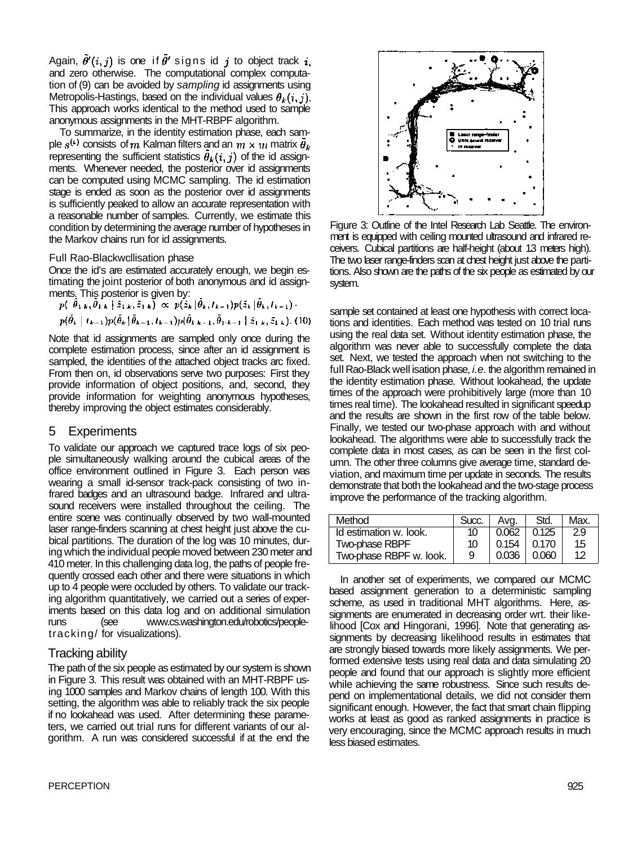Again,  $\tilde{\theta}'(i, j)$  is one if  $\tilde{\theta}'$  signs id j to object track i. and zero otherwise. The computational complex computation of (9) can be avoided by *sampling* id assignments using Metropolis-Hastings, based on the individual values  $\theta_k(i, j)$ . This approach works identical to the method used to sample anonymous assignments in the MHT-RBPF algorithm.

To summarize, in the identity estimation phase, each sample  $s^{(1)}$  consists of m Kalman filters and an  $m \times m$  matrix  $\bar{\theta}_k$ representing the sufficient statistics  $\bar{\theta}_k(i,j)$  of the id assignments. Whenever needed, the posterior over id assignments can be computed using MCMC sampling. The id estimation stage is ended as soon as the posterior over id assignments is sufficiently peaked to allow an accurate representation with a reasonable number of samples. Currently, we estimate this condition by determining the average number of hypotheses in the Markov chains run for id assignments.

### Full Rao-Blackwcllisation phase

Once the id's are estimated accurately enough, we begin estimating the joint posterior of both anonymous and id assignments. This posterior is given by:

$$
p(\hat{\theta}_{1,k}, \bar{\theta}_{1,k} \mid \hat{z}_{1,k}, \bar{z}_{1,k}) \propto p(\hat{z}_k | \hat{\theta}_k, t_{k-1}) p(\tilde{z}_k | \hat{\theta}_k, t_{k-1}) \cdot p(\hat{\theta}_k | t_{k-1}) p(\tilde{\theta}_k | \hat{\theta}_{k-1}, t_{k-1}) p(\hat{\theta}_k | t_{k-1}, \tilde{\theta}_{1,k-1} | \hat{z}_{1,k}, \tilde{z}_{1,k}).
$$
(10)

Note that id assignments are sampled only once during the complete estimation process, since after an id assignment is sampled, the identities of the attached object tracks arc fixed. From then on, id observations serve two purposes: First they provide information of object positions, and, second, they provide information for weighting anonymous hypotheses, thereby improving the object estimates considerably.

### 5 Experiments

To validate our approach we captured trace logs of six people simultaneously walking around the cubical areas of the office environment outlined in Figure 3. Each person was wearing a small id-sensor track-pack consisting of two infrared badges and an ultrasound badge. Infrared and ultrasound receivers were installed throughout the ceiling. The entire scene was continually observed by two wall-mounted laser range-finders scanning at chest height just above the cubical partitions. The duration of the log was 10 minutes, during which the individual people moved between 230 meter and 410 meter. In this challenging data log, the paths of people frequently crossed each other and there were situations in which up to 4 people were occluded by others. To validate our tracking algorithm quantitatively, we carried out a series of experiments based on this data log and on additional simulation runs (see www.cs.washington.edu/robotics/peopletracking/ for visualizations).

# Tracking ability

The path of the six people as estimated by our system is shown in Figure 3. This result was obtained with an MHT-RBPF using 1000 samples and Markov chains of length 100. With this setting, the algorithm was able to reliably track the six people if no lookahead was used. After determining these parameters, we carried out trial runs for different variants of our algorithm. A run was considered successful if at the end the



Figure 3: Outline of the Intel Research Lab Seattle. The environment is equipped with ceiling mounted ultrasound and infrared receivers. Cubical partitions are half-height (about 1.3 meters high). The two laser range-finders scan at chest height just above the partitions. Also shown are the paths of the six people as estimated by our system.

sample set contained at least one hypothesis with correct locations and identities. Each method was tested on 10 trial runs using the real data set. Without identity estimation phase, the algorithm was never able to successfully complete the data set. Next, we tested the approach when not switching to the full Rao-Black well isation phase, *i.e.* the algorithm remained in the identity estimation phase. Without lookahead, the update times of the approach were prohibitively large (more than 10 times real time). The lookahead resulted in significant speedup and the results are shown in the first row of the table below. Finally, we tested our two-phase approach with and without lookahead. The algorithms were able to successfully track the complete data in most cases, as can be seen in the first column. The other three columns give average time, standard deviation, and maximum time per update in seconds. The results demonstrate that both the lookahead and the two-stage process improve the performance of the tracking algorithm.

| Method                  | Succ. | Ava.  | Std.  | Max. |
|-------------------------|-------|-------|-------|------|
| Id estimation w. look.  | 10    | 0.062 | 0.125 | 2.9  |
| Two-phase RBPF          | 10    | 0.154 | 0.170 | 15   |
| Two-phase RBPF w. look. | 9     | 0.036 | 0.060 | 12   |

In another set of experiments, we compared our MCMC based assignment generation to a deterministic sampling scheme, as used in traditional MHT algorithms. Here, assignments are enumerated in decreasing order wrt. their likelihood [Cox and Hingorani, 1996]. Note that generating assignments by decreasing likelihood results in estimates that are strongly biased towards more likely assignments. We performed extensive tests using real data and data simulating 20 people and found that our approach is slightly more efficient while achieving the same robustness. Since such results depend on implementational details, we did not consider them significant enough. However, the fact that smart chain flipping works at least as good as ranked assignments in practice is very encouraging, since the MCMC approach results in much less biased estimates.